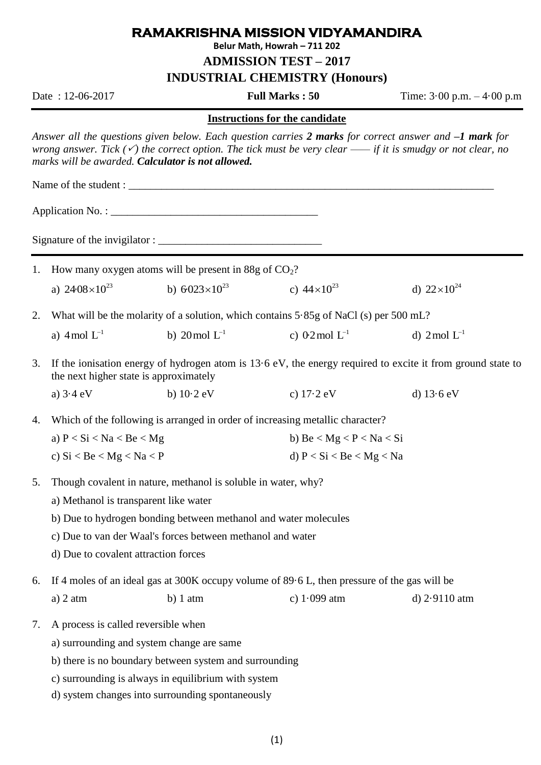## **RAMAKRISHNA MISSION VIDYAMANDIRA**

**Belur Math, Howrah – 711 202**

**ADMISSION TEST – 2017**

**INDUSTRIAL CHEMISTRY (Honours)**

Date : 12-06-2017 **Full Marks : 50** Time: 3·00 p.m. – 4·00 p.m

## **Instructions for the candidate**

*Answer all the questions given below. Each question carries 2 marks for correct answer and –1 mark for wrong answer. Tick () the correct option. The tick must be very clear —— if it is smudgy or not clear, no marks will be awarded. Calculator is not allowed.*

Application  $No. : \_\_$ 

Name of the student :

Signature of the invigilator : \_\_\_\_\_\_\_\_\_\_\_\_\_\_\_\_\_\_\_\_\_\_\_\_\_\_\_\_\_\_

- 1. How many oxygen atoms will be present in 88g of  $CO<sub>2</sub>$ ? a)  $24.08 \times 10^{23}$ b)  $6.023 \times 10^{23}$ c)  $44 \times 10^{23}$ d)  $22 \times 10^{24}$
- 2. What will be the molarity of a solution, which contains 5·85g of NaCl (s) per 500 mL?
	- a)  $4 \text{ mol } L^{-1}$ b)  $20 \text{ mol } L^{-1}$ c)  $0.2 \text{ mol} \text{ L}^{-1}$ d)  $2 \text{ mol } L^{-1}$
- 3. If the ionisation energy of hydrogen atom is 13·6 eV, the energy required to excite it from ground state to the next higher state is approximately
	- a) 3·4 eV b) 10·2 eV c) 17·2 eV d) 13·6 eV

4. Which of the following is arranged in order of increasing metallic character?

| a) $P < Si < Na < Be < Mg$ | b) Be $\langle$ Mg $\langle$ P $\langle$ Na $\langle$ Si |
|----------------------------|----------------------------------------------------------|
| c) $Si < Be < Mg < Na < P$ | d) $P < Si < Be < Mg < Na$                               |

- 5. Though covalent in nature, methanol is soluble in water, why?
	- a) Methanol is transparent like water
	- b) Due to hydrogen bonding between methanol and water molecules
	- c) Due to van der Waal's forces between methanol and water
	- d) Due to covalent attraction forces
- 6. If 4 moles of an ideal gas at 300K occupy volume of 89·6 L, then pressure of the gas will be a) 2 atm b) 1 atm c)  $1.099$  atm d)  $2.9110$  atm
- 7. A process is called reversible when
	- a) surrounding and system change are same
	- b) there is no boundary between system and surrounding
	- c) surrounding is always in equilibrium with system
	- d) system changes into surrounding spontaneously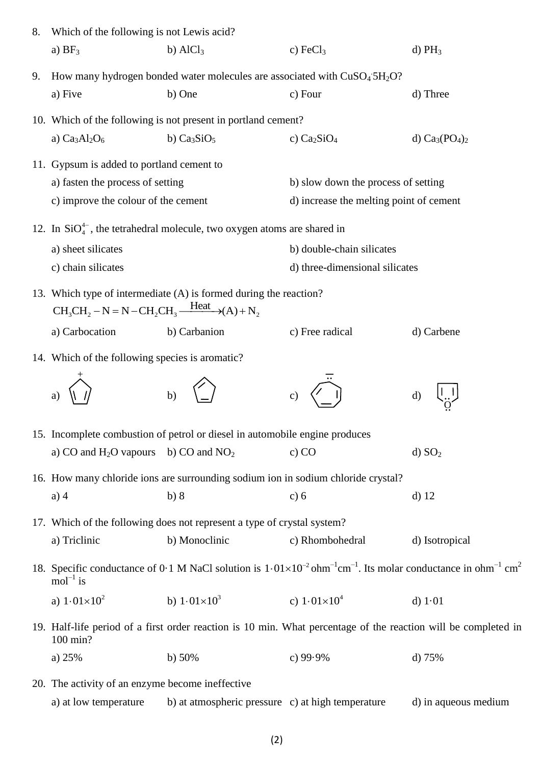| 8. | Which of the following is not Lewis acid?                                                                                                                                              |                                                                                   |                                         |                      |  |  |  |
|----|----------------------------------------------------------------------------------------------------------------------------------------------------------------------------------------|-----------------------------------------------------------------------------------|-----------------------------------------|----------------------|--|--|--|
|    | a) $BF_3$                                                                                                                                                                              | b) $AlCl3$                                                                        | c) $FeCl3$                              | d) $PH_3$            |  |  |  |
| 9. | How many hydrogen bonded water molecules are associated with CuSO <sub>4</sub> 5H <sub>2</sub> O?                                                                                      |                                                                                   |                                         |                      |  |  |  |
|    | a) Five                                                                                                                                                                                | b) One                                                                            | c) Four                                 | d) Three             |  |  |  |
|    | 10. Which of the following is not present in portland cement?                                                                                                                          |                                                                                   |                                         |                      |  |  |  |
|    | a) $Ca3Al2O6$                                                                                                                                                                          | b) $Ca3SiO5$                                                                      | c) $Ca2SiO4$                            | d) $Ca_3(PO_4)_2$    |  |  |  |
|    | 11. Gypsum is added to portland cement to                                                                                                                                              |                                                                                   |                                         |                      |  |  |  |
|    | a) fasten the process of setting                                                                                                                                                       |                                                                                   | b) slow down the process of setting     |                      |  |  |  |
|    | c) improve the colour of the cement                                                                                                                                                    |                                                                                   | d) increase the melting point of cement |                      |  |  |  |
|    | 12. In $SiO_4^{4-}$ , the tetrahedral molecule, two oxygen atoms are shared in                                                                                                         |                                                                                   |                                         |                      |  |  |  |
|    | a) sheet silicates                                                                                                                                                                     |                                                                                   | b) double-chain silicates               |                      |  |  |  |
|    | c) chain silicates                                                                                                                                                                     |                                                                                   | d) three-dimensional silicates          |                      |  |  |  |
|    | 13. Which type of intermediate (A) is formed during the reaction?<br>$CH_3CH_2-N = N-CH_2CH_3 \xrightarrow{Heat} (A) + N_2$                                                            |                                                                                   |                                         |                      |  |  |  |
|    | a) Carbocation                                                                                                                                                                         | b) Carbanion                                                                      | c) Free radical                         | d) Carbene           |  |  |  |
|    | 14. Which of the following species is aromatic?                                                                                                                                        |                                                                                   |                                         |                      |  |  |  |
|    |                                                                                                                                                                                        | $\mathbf{b}$                                                                      | C)                                      | d)                   |  |  |  |
|    |                                                                                                                                                                                        | 15. Incomplete combustion of petrol or diesel in automobile engine produces       |                                         |                      |  |  |  |
|    | a) CO and $H_2O$ vapours b) CO and $NO_2$                                                                                                                                              |                                                                                   | c) CO                                   | d) SO <sub>2</sub>   |  |  |  |
|    |                                                                                                                                                                                        | 16. How many chloride ions are surrounding sodium ion in sodium chloride crystal? |                                         |                      |  |  |  |
|    | $a)$ 4                                                                                                                                                                                 | b)8                                                                               | c) 6                                    | $d)$ 12              |  |  |  |
|    |                                                                                                                                                                                        | 17. Which of the following does not represent a type of crystal system?           |                                         |                      |  |  |  |
|    | a) Triclinic                                                                                                                                                                           | b) Monoclinic                                                                     | c) Rhombohedral                         | d) Isotropical       |  |  |  |
|    | 18. Specific conductance of 0.1 M NaCl solution is $1.01 \times 10^{-2}$ ohm <sup>-1</sup> cm <sup>-1</sup> . Its molar conductance in ohm <sup>-1</sup> cm <sup>2</sup><br>$mol-1$ is |                                                                                   |                                         |                      |  |  |  |
|    | a) $1.01 \times 10^2$                                                                                                                                                                  | b) $1.01 \times 10^3$                                                             | c) $1.01 \times 10^4$                   | d) $1.01$            |  |  |  |
|    | 19. Half-life period of a first order reaction is 10 min. What percentage of the reaction will be completed in<br>100 min?                                                             |                                                                                   |                                         |                      |  |  |  |
|    | a) $25%$                                                                                                                                                                               | b) $50%$                                                                          | c) $99.9%$                              | d) $75%$             |  |  |  |
|    | 20. The activity of an enzyme become ineffective                                                                                                                                       |                                                                                   |                                         |                      |  |  |  |
|    | a) at low temperature                                                                                                                                                                  | b) at atmospheric pressure c) at high temperature                                 |                                         | d) in aqueous medium |  |  |  |

(2)